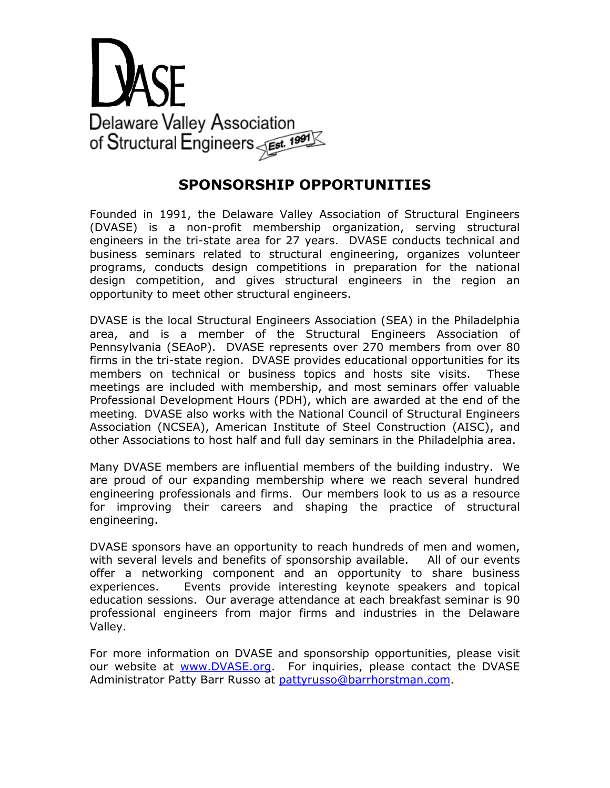

# **SPONSORSHIP OPPORTUNITIES**

Founded in 1991, the Delaware Valley Association of Structural Engineers (DVASE) is a non-profit membership organization, serving structural engineers in the tri-state area for 27 years. DVASE conducts technical and business seminars related to structural engineering, organizes volunteer programs, conducts design competitions in preparation for the national design competition, and gives structural engineers in the region an opportunity to meet other structural engineers.

DVASE is the local Structural Engineers Association (SEA) in the Philadelphia area, and is a member of the Structural Engineers Association of Pennsylvania (SEAoP). DVASE represents over 270 members from over 80 firms in the tri-state region. DVASE provides educational opportunities for its members on technical or business topics and hosts site visits. These meetings are included with membership, and most seminars offer valuable Professional Development Hours (PDH), which are awarded at the end of the meeting. DVASE also works with the National Council of Structural Engineers Association (NCSEA), American Institute of Steel Construction (AISC), and other Associations to host half and full day seminars in the Philadelphia area.

Many DVASE members are influential members of the building industry. We are proud of our expanding membership where we reach several hundred engineering professionals and firms. Our members look to us as a resource for improving their careers and shaping the practice of structural engineering.

DVASE sponsors have an opportunity to reach hundreds of men and women, with several levels and benefits of sponsorship available. All of our events offer a networking component and an opportunity to share business experiences. Events provide interesting keynote speakers and topical education sessions. Our average attendance at each breakfast seminar is 90 professional engineers from major firms and industries in the Delaware Valley.

For more information on DVASE and sponsorship opportunities, please visit our website at [www.DVASE.org.](http://www.dvase.org/) For inquiries, please contact the DVASE Administrator Patty Barr Russo at [pattyrusso@barrhorstman.com.](mailto:pattyrusso@barrhorstman.com)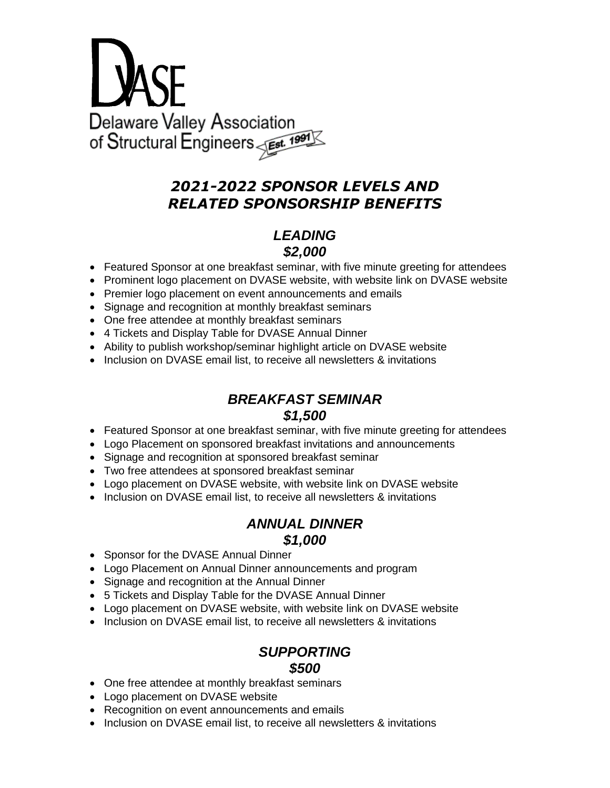

## *2021-2022 SPONSOR LEVELS AND RELATED SPONSORSHIP BENEFITS*

## *LEADING \$2,000*

- Featured Sponsor at one breakfast seminar, with five minute greeting for attendees
- Prominent logo placement on DVASE website, with website link on DVASE website
- Premier logo placement on event announcements and emails
- Signage and recognition at monthly breakfast seminars
- One free attendee at monthly breakfast seminars
- 4 Tickets and Display Table for DVASE Annual Dinner
- Ability to publish workshop/seminar highlight article on DVASE website
- Inclusion on DVASE email list, to receive all newsletters & invitations

### *BREAKFAST SEMINAR \$1,500*

- Featured Sponsor at one breakfast seminar, with five minute greeting for attendees
- Logo Placement on sponsored breakfast invitations and announcements
- Signage and recognition at sponsored breakfast seminar
- Two free attendees at sponsored breakfast seminar
- Logo placement on DVASE website, with website link on DVASE website
- Inclusion on DVASE email list, to receive all newsletters & invitations

### *ANNUAL DINNER \$1,000*

- Sponsor for the DVASE Annual Dinner
- Logo Placement on Annual Dinner announcements and program
- Signage and recognition at the Annual Dinner
- 5 Tickets and Display Table for the DVASE Annual Dinner
- Logo placement on DVASE website, with website link on DVASE website
- Inclusion on DVASE email list, to receive all newsletters & invitations

#### *SUPPORTING \$500*

- One free attendee at monthly breakfast seminars
- Logo placement on DVASE website
- Recognition on event announcements and emails
- Inclusion on DVASE email list, to receive all newsletters & invitations